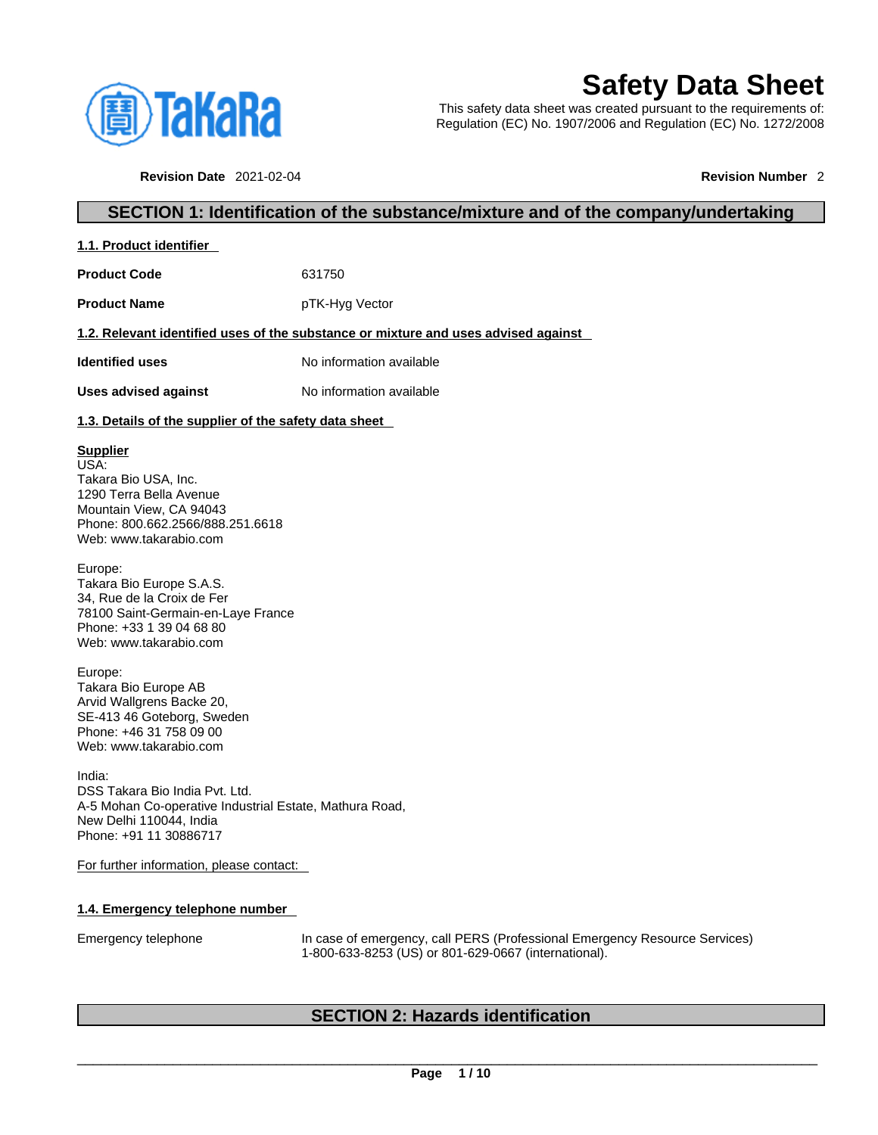

**1.1. Product identifier** 

# **Safety Data Sheet**

This safety data sheet was created pursuant to the requirements of: Regulation (EC) No. 1907/2006 and Regulation (EC) No. 1272/2008

**Revision Date** 2021-02-04 **Revision Number** 2

## **SECTION 1: Identification of the substance/mixture and of the company/undertaking**

| <b>Product Code</b>                                                                                                                                                 | 631750                                                                             |
|---------------------------------------------------------------------------------------------------------------------------------------------------------------------|------------------------------------------------------------------------------------|
| <b>Product Name</b>                                                                                                                                                 | pTK-Hyg Vector                                                                     |
|                                                                                                                                                                     | 1.2. Relevant identified uses of the substance or mixture and uses advised against |
| <b>Identified uses</b>                                                                                                                                              | No information available                                                           |
| <b>Uses advised against</b>                                                                                                                                         | No information available                                                           |
| 1.3. Details of the supplier of the safety data sheet                                                                                                               |                                                                                    |
| <b>Supplier</b><br>USA:<br>Takara Bio USA, Inc.<br>1290 Terra Bella Avenue<br>Mountain View, CA 94043<br>Phone: 800.662.2566/888.251.6618<br>Web: www.takarabio.com |                                                                                    |
| Europe:<br>Takara Bio Europe S.A.S.<br>34, Rue de la Croix de Fer<br>78100 Saint-Germain-en-Laye France<br>Phone: +33 1 39 04 68 80<br>Web: www.takarabio.com       |                                                                                    |
| Europe:<br>Takara Bio Europe AB<br>Arvid Wallgrens Backe 20,<br>SE-413 46 Goteborg, Sweden<br>Phone: +46 31 758 09 00<br>Web: www.takarabio.com                     |                                                                                    |
| India:<br>DSS Takara Bio India Pvt. Ltd.<br>A-5 Mohan Co-operative Industrial Estate, Mathura Road,<br>New Delhi 110044. India                                      |                                                                                    |

For further information, please contact:

#### **1.4. Emergency telephone number**

Phone: +91 11 30886717

Emergency telephone In case of emergency, call PERS (Professional Emergency Resource Services) 1-800-633-8253 (US) or 801-629-0667 (international).

## **SECTION 2: Hazards identification**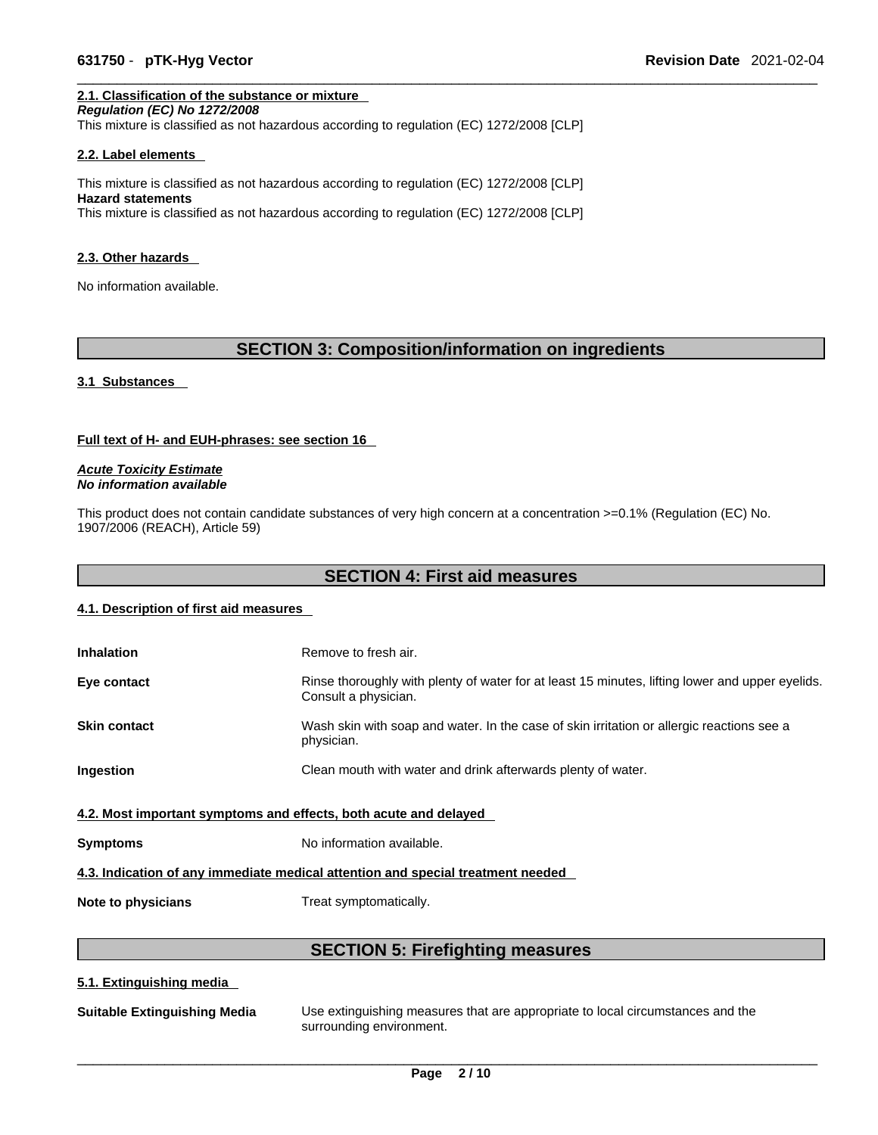## **2.1. Classification of the substance or mixture**

*Regulation (EC) No 1272/2008*  This mixture is classified as not hazardous according to regulation (EC) 1272/2008 [CLP]

#### **2.2. Label elements**

This mixture is classified as not hazardous according to regulation (EC) 1272/2008 [CLP] **Hazard statements** This mixture is classified as not hazardous according to regulation (EC) 1272/2008 [CLP]

#### **2.3. Other hazards**

No information available.

## **SECTION 3: Composition/information on ingredients**

#### **3.1 Substances**

#### **Full text of H- and EUH-phrases: see section 16**

*Acute Toxicity Estimate No information available* 

This product does not contain candidate substances of very high concern at a concentration  $>=0.1\%$  (Regulation (EC) No. 1907/2006 (REACH), Article 59)

## **SECTION 4: First aid measures**

#### **4.1. Description of first aid measures**

| <b>Inhalation</b>                                                               | Remove to fresh air.                                                                                                    |  |
|---------------------------------------------------------------------------------|-------------------------------------------------------------------------------------------------------------------------|--|
| Eye contact                                                                     | Rinse thoroughly with plenty of water for at least 15 minutes, lifting lower and upper eyelids.<br>Consult a physician. |  |
| <b>Skin contact</b>                                                             | Wash skin with soap and water. In the case of skin irritation or allergic reactions see a<br>physician.                 |  |
| <b>Ingestion</b>                                                                | Clean mouth with water and drink afterwards plenty of water.                                                            |  |
| 4.2. Most important symptoms and effects, both acute and delayed                |                                                                                                                         |  |
| <b>Symptoms</b>                                                                 | No information available.                                                                                               |  |
| 4.3. Indication of any immediate medical attention and special treatment needed |                                                                                                                         |  |

**Note to physicians** Treat symptomatically.

## **SECTION 5: Firefighting measures**

#### **5.1. Extinguishing media**

| <b>Suitable Extinguishing Media</b> | Use extinguishing measures that are appropriate to local circumstances and the<br>surrounding environment. |
|-------------------------------------|------------------------------------------------------------------------------------------------------------|
|-------------------------------------|------------------------------------------------------------------------------------------------------------|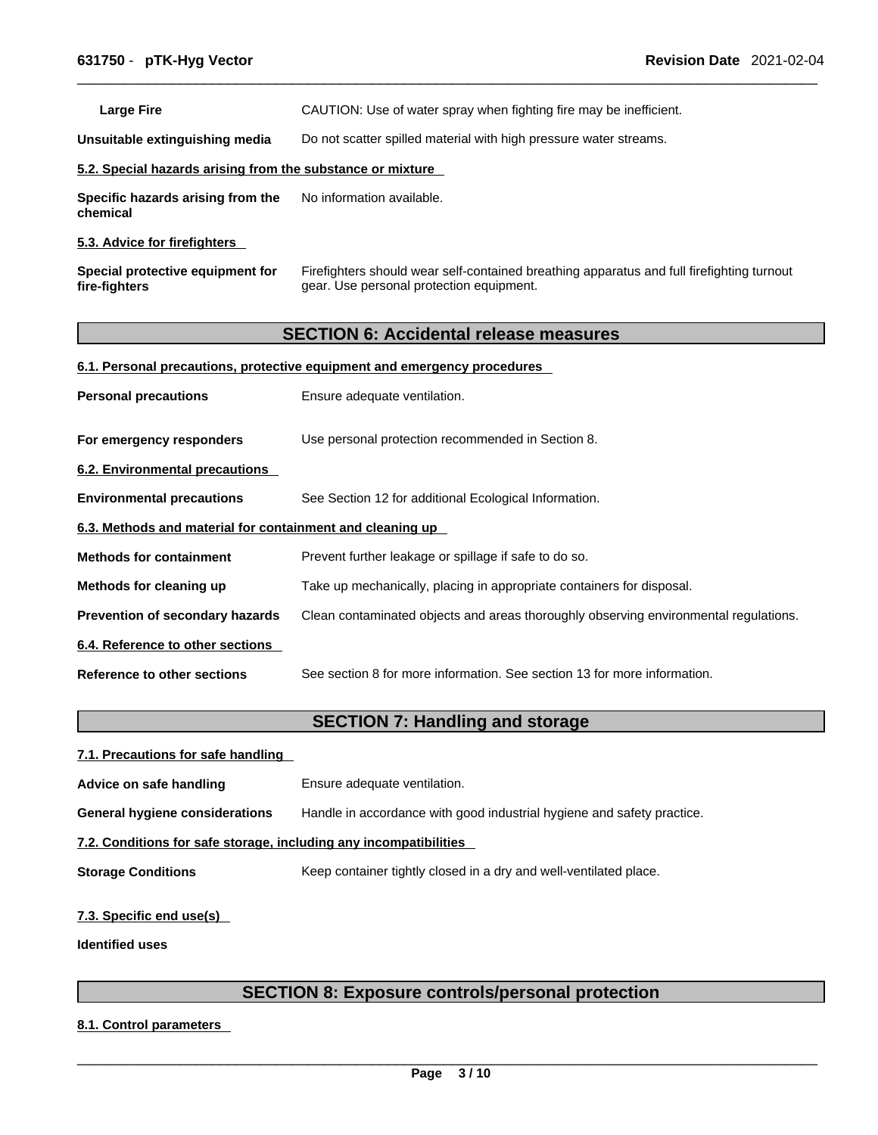Large Fire **Example 20 CAUTION:** Use of water spray when fighting fire may be inefficient.

**Unsuitable extinguishing media** Do not scatter spilled material with high pressure water streams.

#### **5.2. Special hazards arising from the substance or mixture**

**Specific hazards arising from the chemical** No information available.

#### **5.3. Advice for firefighters**

| Special protective equipment for | Firefighters should wear self-contained breathing apparatus and full firefighting turnout |
|----------------------------------|-------------------------------------------------------------------------------------------|
| fire-fighters                    | gear. Use personal protection equipment.                                                  |

## **SECTION 6: Accidental release measures**

#### **6.1. Personal precautions, protective equipment and emergency procedures**

| <b>Personal precautions</b>                               | Ensure adequate ventilation.                                                         |  |
|-----------------------------------------------------------|--------------------------------------------------------------------------------------|--|
| For emergency responders                                  | Use personal protection recommended in Section 8.                                    |  |
| 6.2. Environmental precautions                            |                                                                                      |  |
| <b>Environmental precautions</b>                          | See Section 12 for additional Ecological Information.                                |  |
| 6.3. Methods and material for containment and cleaning up |                                                                                      |  |
| <b>Methods for containment</b>                            | Prevent further leakage or spillage if safe to do so.                                |  |
| Methods for cleaning up                                   | Take up mechanically, placing in appropriate containers for disposal.                |  |
| <b>Prevention of secondary hazards</b>                    | Clean contaminated objects and areas thoroughly observing environmental regulations. |  |
| 6.4. Reference to other sections                          |                                                                                      |  |
| Reference to other sections                               | See section 8 for more information. See section 13 for more information.             |  |

## **SECTION 7: Handling and storage**

| 7.1. Precautions for safe handling                                |                                                                        |  |
|-------------------------------------------------------------------|------------------------------------------------------------------------|--|
| Advice on safe handling                                           | Ensure adequate ventilation.                                           |  |
| General hygiene considerations                                    | Handle in accordance with good industrial hygiene and safety practice. |  |
| 7.2. Conditions for safe storage, including any incompatibilities |                                                                        |  |
| <b>Storage Conditions</b>                                         | Keep container tightly closed in a dry and well-ventilated place.      |  |
|                                                                   |                                                                        |  |

## **7.3. Specific end use(s)**

**Identified uses**

## **SECTION 8: Exposure controls/personal protection**

**8.1. Control parameters**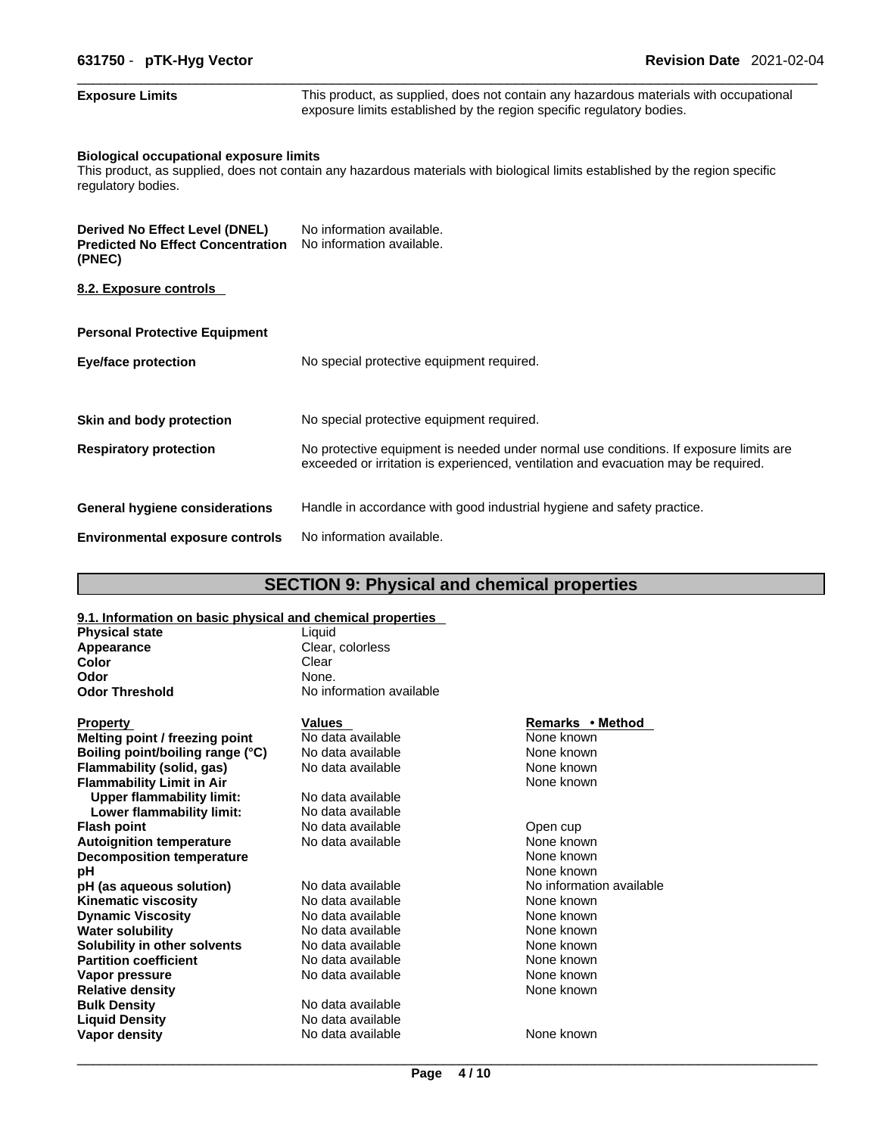| <b>Exposure Limits</b>                                                                      | This product, as supplied, does not contain any hazardous materials with occupational<br>exposure limits established by the region specific regulatory bodies.              |
|---------------------------------------------------------------------------------------------|-----------------------------------------------------------------------------------------------------------------------------------------------------------------------------|
| <b>Biological occupational exposure limits</b><br>regulatory bodies.                        | This product, as supplied, does not contain any hazardous materials with biological limits established by the region specific                                               |
| <b>Derived No Effect Level (DNEL)</b><br><b>Predicted No Effect Concentration</b><br>(PNEC) | No information available.<br>No information available.                                                                                                                      |
| 8.2. Exposure controls                                                                      |                                                                                                                                                                             |
| <b>Personal Protective Equipment</b>                                                        |                                                                                                                                                                             |
| <b>Eye/face protection</b>                                                                  | No special protective equipment required.                                                                                                                                   |
| Skin and body protection                                                                    | No special protective equipment required.                                                                                                                                   |
| <b>Respiratory protection</b>                                                               | No protective equipment is needed under normal use conditions. If exposure limits are<br>exceeded or irritation is experienced, ventilation and evacuation may be required. |
| <b>General hygiene considerations</b>                                                       | Handle in accordance with good industrial hygiene and safety practice.                                                                                                      |
| <b>Environmental exposure controls</b>                                                      | No information available.                                                                                                                                                   |

## **SECTION 9: Physical and chemical properties**

| 9.1. Information on basic physical and chemical properties |                          |                          |
|------------------------------------------------------------|--------------------------|--------------------------|
| <b>Physical state</b>                                      | Liquid                   |                          |
| Appearance                                                 | Clear, colorless         |                          |
| Color                                                      | Clear                    |                          |
| Odor                                                       | None.                    |                          |
| <b>Odor Threshold</b>                                      | No information available |                          |
| <b>Property</b>                                            | <b>Values</b>            | Remarks • Method         |
| Melting point / freezing point                             | No data available        | None known               |
| Boiling point/boiling range (°C)                           | No data available        | None known               |
| Flammability (solid, gas)                                  | No data available        | None known               |
| <b>Flammability Limit in Air</b>                           |                          | None known               |
| <b>Upper flammability limit:</b>                           | No data available        |                          |
| Lower flammability limit:                                  | No data available        |                          |
| <b>Flash point</b>                                         | No data available        | Open cup                 |
| <b>Autoignition temperature</b>                            | No data available        | None known               |
| <b>Decomposition temperature</b>                           |                          | None known               |
| рH                                                         |                          | None known               |
| pH (as aqueous solution)                                   | No data available        | No information available |
| <b>Kinematic viscosity</b>                                 | No data available        | None known               |
| <b>Dynamic Viscosity</b>                                   | No data available        | None known               |
| <b>Water solubility</b>                                    | No data available        | None known               |
| Solubility in other solvents                               | No data available        | None known               |
| <b>Partition coefficient</b>                               | No data available        | None known               |
| Vapor pressure                                             | No data available        | None known               |
| <b>Relative density</b>                                    |                          | None known               |
| <b>Bulk Density</b>                                        | No data available        |                          |
| <b>Liquid Density</b>                                      | No data available        |                          |
| Vapor density                                              | No data available        | None known               |
|                                                            |                          |                          |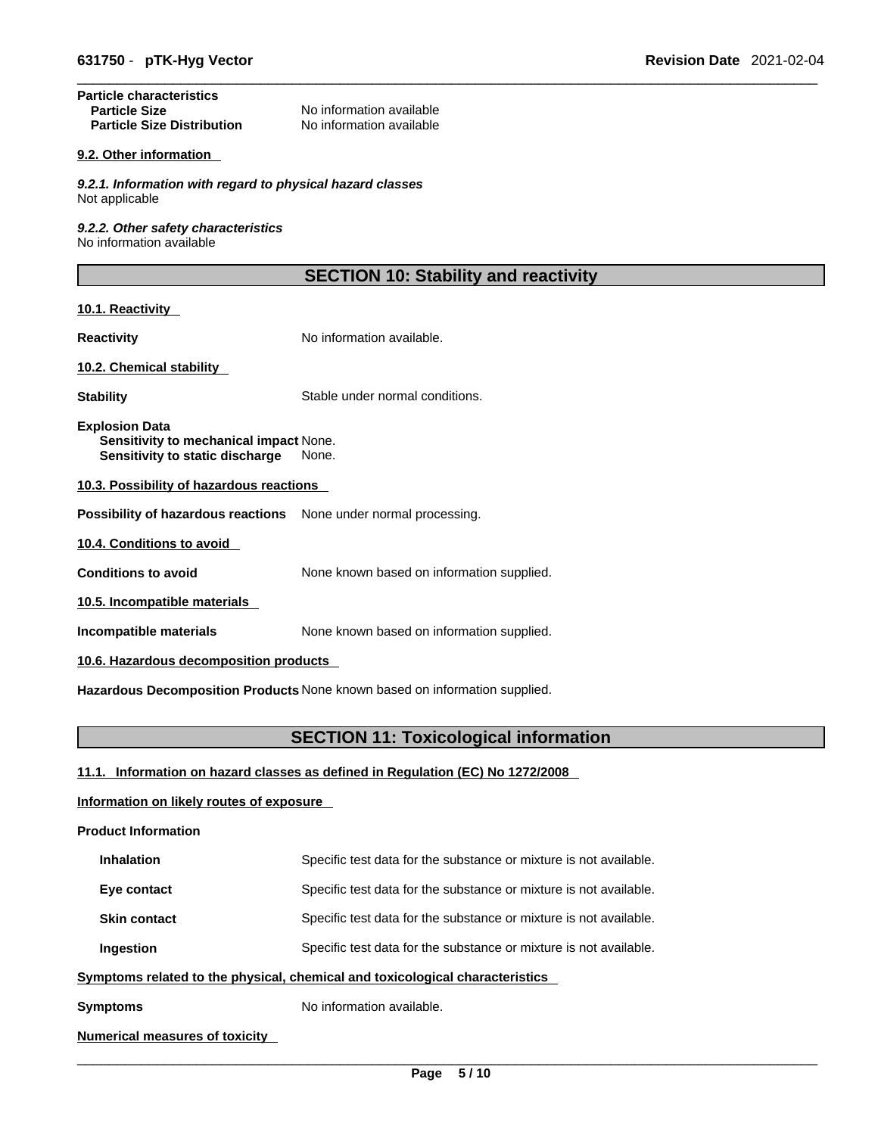#### **Particle characteristics**  No information available<br>No information available **Particle Size Distribution**

#### **9.2. Other information**

*9.2.1. Information with regard to physical hazard classes* Not applicable

*9.2.2. Other safety characteristics* No information available

## **SECTION 10: Stability and reactivity**

#### **10.1. Reactivity**

**Reactivity No information available.** 

#### **10.2. Chemical stability**

**Stability** Stable under normal conditions.

**Explosion Data Sensitivity to mechanical impact** None. **Sensitivity to static discharge** None.

#### **10.3. Possibility of hazardous reactions**

**Possibility of hazardous reactions** None under normal processing.

**10.4. Conditions to avoid** 

**Conditions to avoid** None known based on information supplied.

**10.5. Incompatible materials**

**Incompatible materials** None known based on information supplied.

**10.6. Hazardous decomposition products** 

**Hazardous Decomposition Products** None known based on information supplied.

## **SECTION 11: Toxicological information**

**11.1. Information on hazard classes as defined in Regulation (EC) No 1272/2008**

#### **Information on likely routes of exposure**

**Product Information**

| <b>Inhalation</b>                                                            | Specific test data for the substance or mixture is not available. |  |
|------------------------------------------------------------------------------|-------------------------------------------------------------------|--|
| Eye contact                                                                  | Specific test data for the substance or mixture is not available. |  |
| <b>Skin contact</b>                                                          | Specific test data for the substance or mixture is not available. |  |
| Ingestion                                                                    | Specific test data for the substance or mixture is not available. |  |
| Symptoms related to the physical, chemical and toxicological characteristics |                                                                   |  |

**Symptoms** No information available.

#### **Numerical measures of toxicity**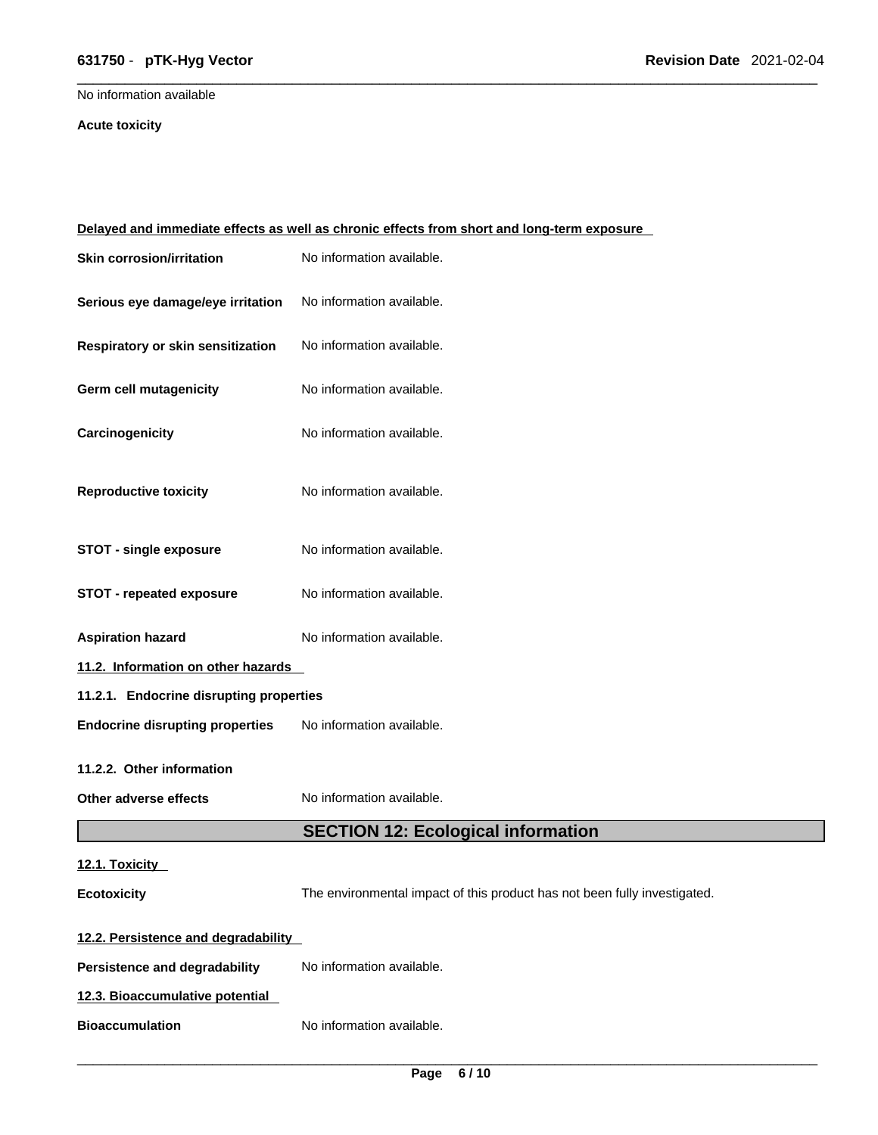## \_\_\_\_\_\_\_\_\_\_\_\_\_\_\_\_\_\_\_\_\_\_\_\_\_\_\_\_\_\_\_\_\_\_\_\_\_\_\_\_\_\_\_\_\_\_\_\_\_\_\_\_\_\_\_\_\_\_\_\_\_\_\_\_\_\_\_\_\_\_\_\_\_\_\_\_\_\_\_\_\_\_\_\_\_\_\_\_\_\_\_\_\_ **631750** - **pTK-Hyg Vector Revision Date** 2021-02-04

No information available

#### **Acute toxicity**

| Delayed and immediate effects as well as chronic effects from short and long-term exposure |                                                                           |  |
|--------------------------------------------------------------------------------------------|---------------------------------------------------------------------------|--|
| <b>Skin corrosion/irritation</b>                                                           | No information available.                                                 |  |
| Serious eye damage/eye irritation                                                          | No information available.                                                 |  |
| Respiratory or skin sensitization                                                          | No information available.                                                 |  |
| Germ cell mutagenicity                                                                     | No information available.                                                 |  |
| Carcinogenicity                                                                            | No information available.                                                 |  |
| <b>Reproductive toxicity</b>                                                               | No information available.                                                 |  |
| <b>STOT - single exposure</b>                                                              | No information available.                                                 |  |
| <b>STOT - repeated exposure</b>                                                            | No information available.                                                 |  |
| <b>Aspiration hazard</b>                                                                   | No information available.                                                 |  |
| 11.2. Information on other hazards                                                         |                                                                           |  |
| 11.2.1. Endocrine disrupting properties                                                    |                                                                           |  |
| <b>Endocrine disrupting properties</b>                                                     | No information available.                                                 |  |
| 11.2.2. Other information                                                                  |                                                                           |  |
| Other adverse effects                                                                      | No information available.                                                 |  |
|                                                                                            | <b>SECTION 12: Ecological information</b>                                 |  |
| 12.1. Toxicity                                                                             |                                                                           |  |
| <b>Ecotoxicity</b>                                                                         | The environmental impact of this product has not been fully investigated. |  |
| 12.2. Persistence and degradability                                                        |                                                                           |  |
| <b>Persistence and degradability</b>                                                       | No information available.                                                 |  |
| 12.3. Bioaccumulative potential                                                            |                                                                           |  |
| <b>Bioaccumulation</b>                                                                     | No information available.                                                 |  |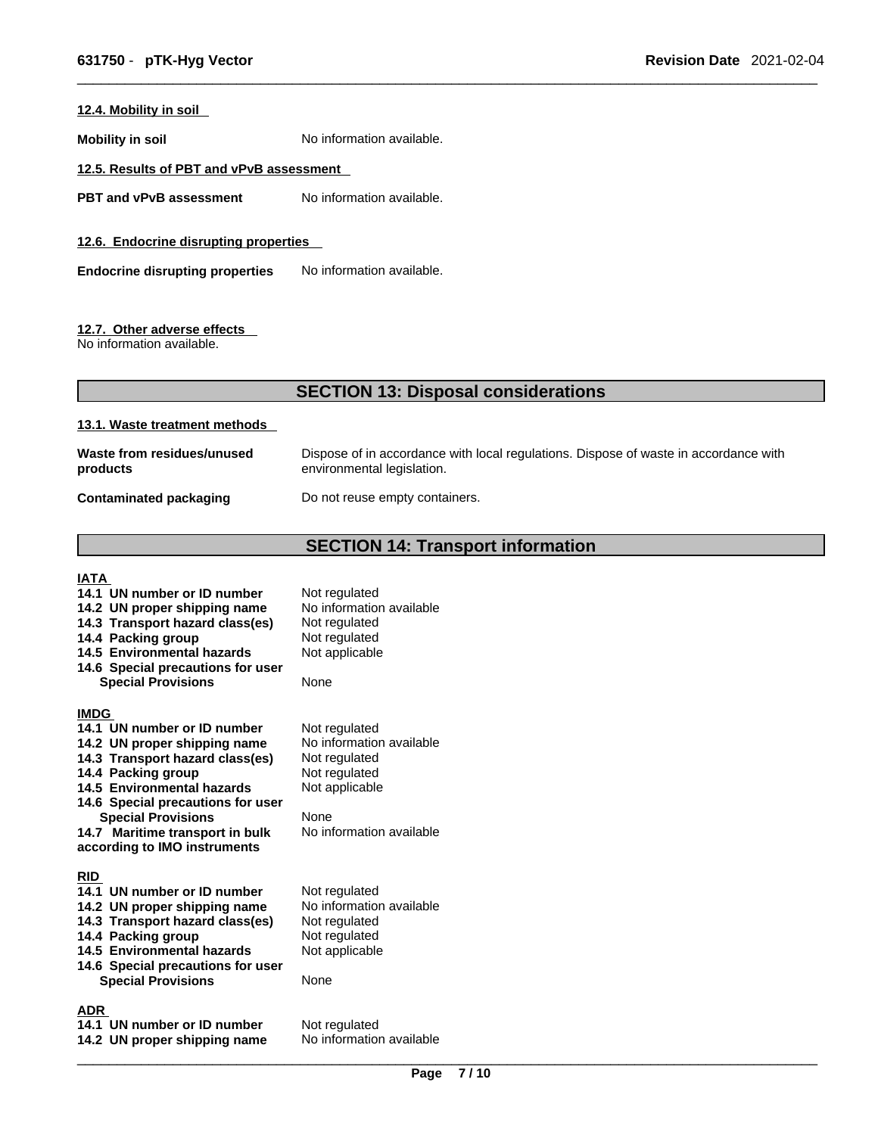#### **12.4. Mobility in soil**

**Mobility in soil** No information available.

#### **12.5. Results of PBT and vPvB assessment**

**PBT** and **vPvB** assessment No information available.

**12.6. Endocrine disrupting properties** 

**Endocrine disrupting properties** No information available.

#### **12.7. Other adverse effects**

No information available.

#### **SECTION 13: Disposal considerations**

#### **13.1. Waste treatment methods**

| Waste from residues/unused    | Dispose of in accordance with local regulations. Dispose of waste in accordance with |
|-------------------------------|--------------------------------------------------------------------------------------|
| products                      | environmental legislation.                                                           |
| <b>Contaminated packaging</b> | Do not reuse empty containers.                                                       |

## **SECTION 14: Transport information**

#### **IATA**

**14.1 UN number or ID number** Not regulated 14.2 UN proper shipping name No information available **14.3 Transport hazard class(es)** Not regulated **14.4 Packing group** Not regulated **14.4 Packing group Not regulated 14.5 Environmental hazards Not applicable 14.5 Environmental hazards 14.6 Special precautions for user Special Provisions** None **IMDG 14.1 UN number or ID number** Not regulated **14.2 UN proper shipping name** No information available **14.3 Transport hazard class(es)** Not regulated **14.3 Transport hazard class(es) 14.4 Packing group <b>Calcu** Not regulated<br>**14.5 Environmental hazards** Not applicable **14.5 Environmental hazards 14.6 Special precautions for user Special Provisions** None **14.7 Maritime transport in bulk according to IMO instruments** No information available **RID 14.1 UN number or ID number** Not regulated<br>**14.2 UN proper shipping name** No information available **14.2 UN proper shipping name** No information<br>**14.3 Transport hazard class(es)** Not regulated **14.3 Transport hazard class(es) 14.4 Packing group Mot regulated** 14.5 Environmental hazards Not applicable **14.6 Special precautions for user Special Provisions ADR** 

**14.1 UN number or ID number** Not regulated<br>**14.2 UN proper shipping name** No information available **14.2 UN proper shipping name**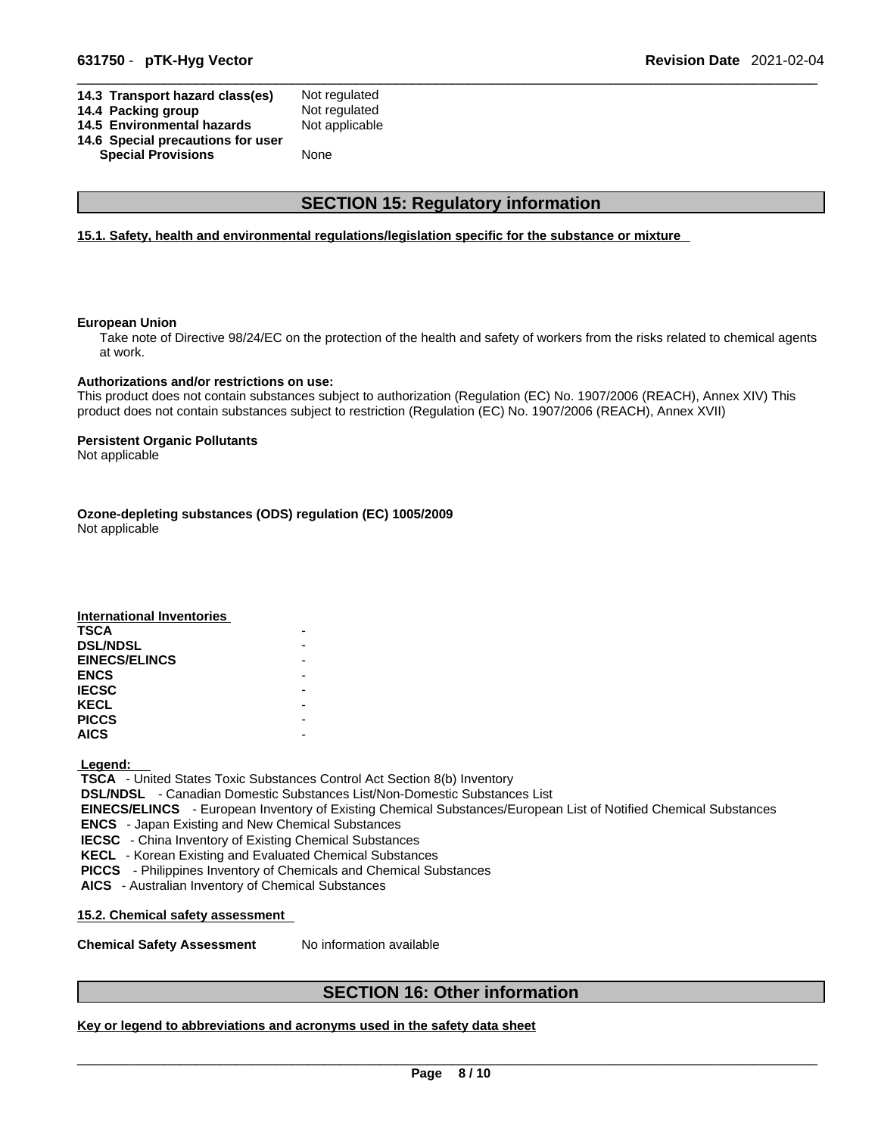| 14.3 Transport hazard class(es)   | Not regulated  |
|-----------------------------------|----------------|
| 14.4 Packing group                | Not regulated  |
| 14.5 Environmental hazards        | Not applicable |
| 14.6 Special precautions for user |                |
| <b>Special Provisions</b>         | None           |
|                                   |                |

## **SECTION 15: Regulatory information**

#### **15.1. Safety, health and environmental regulations/legislation specific for the substance or mixture**

#### **European Union**

Take note of Directive 98/24/EC on the protection of the health and safety of workers from the risks related to chemical agents at work.

#### **Authorizations and/or restrictions on use:**

This product does not contain substances subject to authorization (Regulation (EC) No. 1907/2006 (REACH), Annex XIV) This product does not contain substances subject to restriction (Regulation (EC) No. 1907/2006 (REACH), Annex XVII)

#### **Persistent Organic Pollutants**

Not applicable

**Ozone-depleting substances (ODS) regulation (EC) 1005/2009**

Not applicable

| <b>International Inventories</b> |  |
|----------------------------------|--|
| <b>TSCA</b>                      |  |
| <b>DSL/NDSL</b>                  |  |
| <b>EINECS/ELINCS</b>             |  |
| <b>ENCS</b>                      |  |
| <b>IECSC</b>                     |  |
| <b>KECL</b>                      |  |
| <b>PICCS</b>                     |  |
| <b>AICS</b>                      |  |

 **Legend:** 

 **TSCA** - United States Toxic Substances Control Act Section 8(b) Inventory

 **DSL/NDSL** - Canadian Domestic Substances List/Non-Domestic Substances List

 **EINECS/ELINCS** - European Inventory of Existing Chemical Substances/European List of Notified Chemical Substances  **ENCS** - Japan Existing and New Chemical Substances

 **IECSC** - China Inventory of Existing Chemical Substances

 **KECL** - Korean Existing and Evaluated Chemical Substances

 **PICCS** - Philippines Inventory of Chemicals and Chemical Substances

 **AICS** - Australian Inventory of Chemical Substances

**15.2. Chemical safety assessment**

**Chemical Safety Assessment** No information available

## **SECTION 16: Other information**

**Key or legend to abbreviations and acronyms used in the safety data sheet**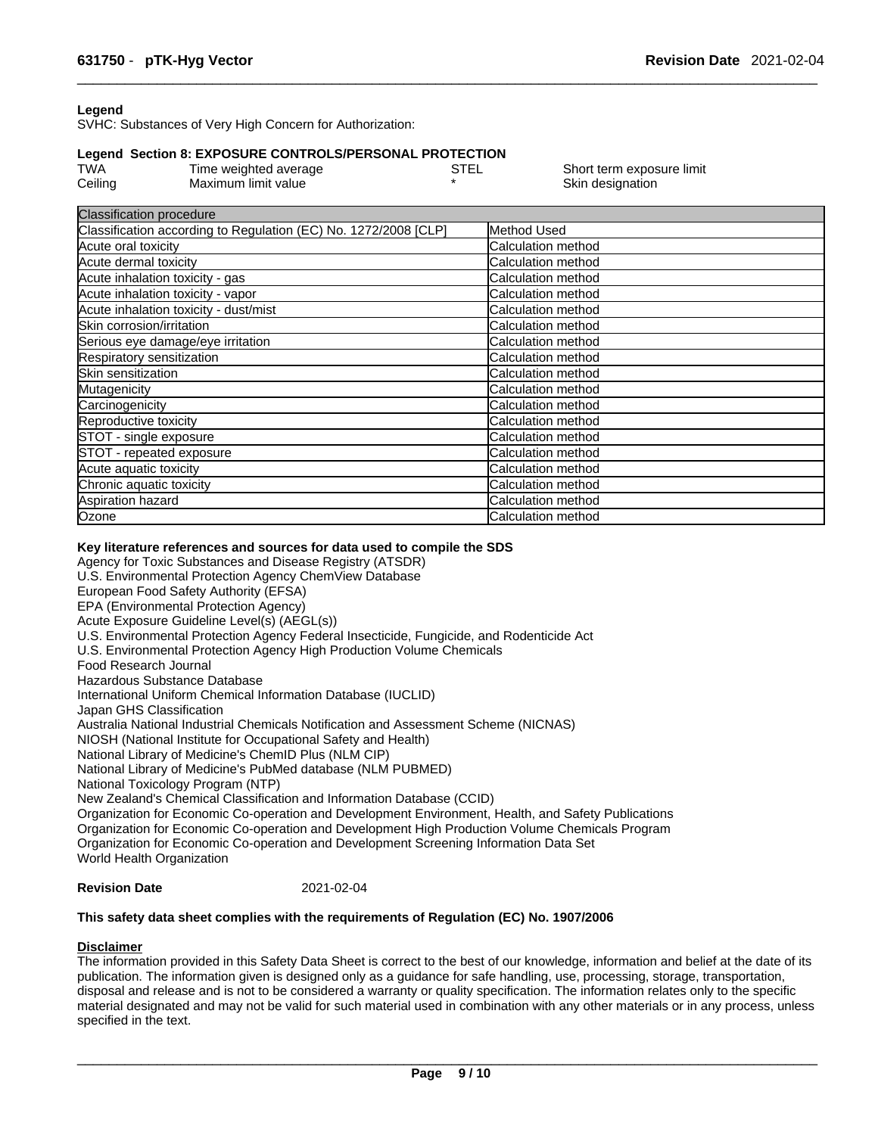#### **Legend**

SVHC: Substances of Very High Concern for Authorization:

#### **Legend Section 8: EXPOSURE CONTROLS/PERSONAL PROTECTION**

| <b>TWA</b> | Time weighted average | STEL | Short term exposure limit |
|------------|-----------------------|------|---------------------------|
| Ceiling    | Maximum limit value   |      | Skin designation          |

| <b>Classification procedure</b>                                 |                           |
|-----------------------------------------------------------------|---------------------------|
| Classification according to Regulation (EC) No. 1272/2008 [CLP] | Method Used               |
| Acute oral toxicity                                             | Calculation method        |
| Acute dermal toxicity                                           | Calculation method        |
| Acute inhalation toxicity - gas                                 | Calculation method        |
| Acute inhalation toxicity - vapor                               | Calculation method        |
| Acute inhalation toxicity - dust/mist                           | Calculation method        |
| Skin corrosion/irritation                                       | Calculation method        |
| Serious eye damage/eye irritation                               | <b>Calculation method</b> |
| Respiratory sensitization                                       | <b>Calculation method</b> |
| Skin sensitization                                              | Calculation method        |
| Mutagenicity                                                    | Calculation method        |
| Carcinogenicity                                                 | Calculation method        |
| Reproductive toxicity                                           | <b>Calculation method</b> |
| STOT - single exposure                                          | <b>Calculation method</b> |
| STOT - repeated exposure                                        | Calculation method        |
| Acute aquatic toxicity                                          | <b>Calculation method</b> |
| Chronic aquatic toxicity                                        | Calculation method        |
| Aspiration hazard                                               | <b>Calculation method</b> |
| Ozone                                                           | Calculation method        |

#### **Key literature references and sources for data used to compile the SDS**

Agency for Toxic Substances and Disease Registry (ATSDR) U.S. Environmental Protection Agency ChemView Database European Food Safety Authority (EFSA) EPA (Environmental Protection Agency) Acute Exposure Guideline Level(s) (AEGL(s)) U.S. Environmental Protection Agency Federal Insecticide, Fungicide, and Rodenticide Act U.S. Environmental Protection Agency High Production Volume Chemicals Food Research Journal Hazardous Substance Database International Uniform Chemical Information Database (IUCLID) Japan GHS Classification Australia National Industrial Chemicals Notification and Assessment Scheme (NICNAS) NIOSH (National Institute for Occupational Safety and Health) National Library of Medicine's ChemID Plus (NLM CIP) National Library of Medicine's PubMed database (NLM PUBMED) National Toxicology Program (NTP) New Zealand's Chemical Classification and Information Database (CCID) Organization for Economic Co-operation and Development Environment, Health, and Safety Publications Organization for Economic Co-operation and Development High Production Volume Chemicals Program Organization for Economic Co-operation and Development Screening Information Data Set World Health Organization

## **Revision Date** 2021-02-04

#### **This safety data sheet complies with the requirements of Regulation (EC) No. 1907/2006**

#### **Disclaimer**

The information provided in this Safety Data Sheet is correct to the best of our knowledge, information and belief at the date of its publication. The information given is designed only as a guidance for safe handling, use, processing, storage, transportation, disposal and release and is not to be considered a warranty or quality specification. The information relates only to the specific material designated and may not be valid for such material used in combination with any other materials or in any process, unless specified in the text.